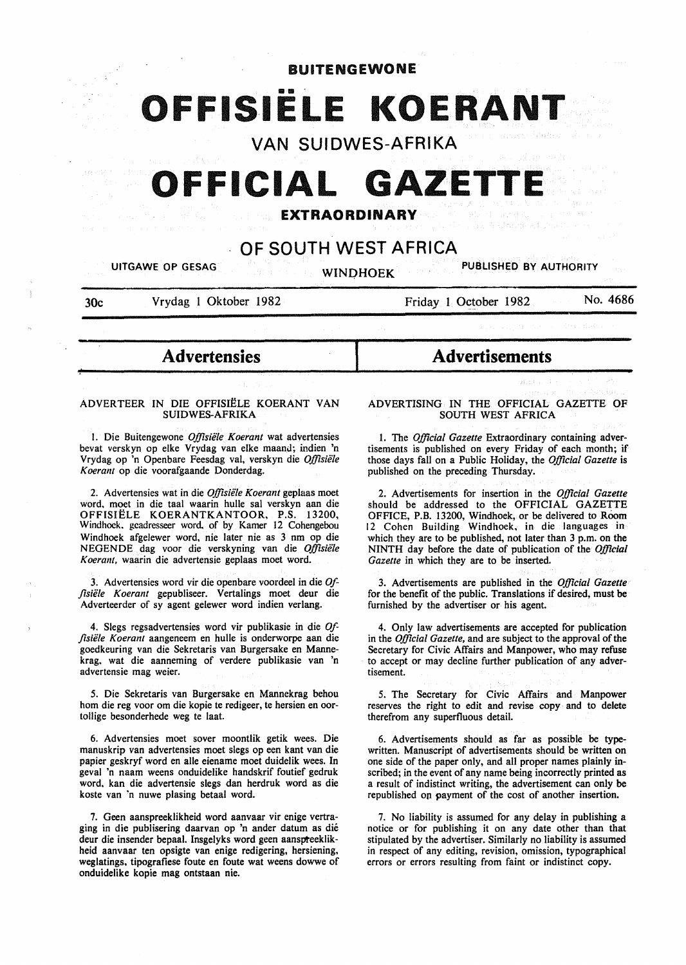BUITENGEWONE

# **OFFISIELE KOERAN**

**VAN SUIDWES-AFRIKA** 

# **GEFICIAL GAZET**

# **EXTRAORDINARY**

# **OF SOUTH WEST AFRICA**

UITGAWE OP GESAG WINDHOEK PUBLISHED BY AUTHORITY

30c Vrydag l Oktober 1982

Friday 1 October 1982 No. 4686

- **Advertensies** <sup>~</sup>

#### ADVERTEER IN DIE OFFISIELE KOERANT VAN SUIDWES-AFRIKA

I. Die Buitengewone *Offisiele Koerant* wat advertensies bevat verskyn op elke Vrydag van elke maand; indien 'n Vrydag op 'n Openbare Feesdag val, verskyn die *Offisie1e Koerant* op die voorafgaande Donderdag.

2. Advertensies wat in die *Offisiele Koerant* geplaas moet word, moet in die taal waarin hulle sal verskyn aan die OFFISIELE KOERANTKANTOOR, P.S. 13200, Windhoek. gcadresseer word. of by Kamer 12 Cohengebou Windhoek afgelewer word, nie later nie as 3 nm op die NEGENDE dag voor die verskyning van die *Offisiele*  Koerant, waarin die advertensie geplaas moet word.

3. Advertensies word vir die openbare voordeel in die *Offlsiele Koerant* gepubliseer. Vertalings moet deur die Adverteerder of sy agent gelewer word indien verlang.

4. Slegs regsadvertensies word vir publikasie in die *Offlsiele Koerant* aangeneem en hulle is onderworpe aan die goedkeuring van die Sekretaris van Burgersake en Mannekrag. wat die aanneming of verdere publikasie van 'n advertensie mag weier.

5. Die Sekretaris van Burgersake en Mannekrag behou hom die reg voor om die kopie te redigeer, te hersien en oortollige besonderhede weg te laat.

6. Advertensies moet sover moontlik getik wees. Die manuskrip van advertensies moet slegs op een kant van die papier geskryf word en aile eiename moet duidelik wees. In geval 'n naam weens onduidelike handskrif foutief gedruk word, kan die advertensie slegs dan herdruk word as die koste van 'n nuwe plasing betaal word.

7. Geen aanspreeklikheid word aanvaar vir enige vertraging in die publisering daarvan op 'n ander datum as die deur die insender bepaal. Insgelyks word geen aanspteeklikheid aanvaar ten opsigte van enige redigering, hersiening, weglatings, tipografiese foute en foute wat weens dowwe of onduidelike kopie mag ontstaan nie.

# **Advertisements**

ADVERTISING IN THE OFFICIAL GAZETTE OF SOUTH WEST AFRICA

1. The *Official Gazette* Extraordinary containing advertisements is published on every Friday of each month; if those days fall on a Public Holiday, the *Official Gazette* is published on the preceding Thursday.

2. Advertisements for insertion in the *Official Gazette*  should be addressed to the OFFICIAL GAZETTE OFFICE, P.B. 13200, Windhoek, or be delivered to Room 12 Cohen Building Windhoek, in die languages in which they are to be published, not later than 3 p.m. on the NINTH day before the date of publication of the *Official Gazette* in which they are to be inserted.

3. Advertisements are published in the *Official Gazette*  for the benefit of the public. Translations if desired, must be furnished by the advertiser or his agent.

4. Only law advertisements are accepted for publication in the *Official Gazette,* and are subject to the approval of the Secretary for Civic Affairs and Manpower, who may refuse to accept or may decline further publication of any advertisement.

5. The Secretary for Civic Affairs and Manpower reserves the right to edit and revise copy and to delete therefrom any superfluous detail.

6. Advertisements should as far as possible be typewritten. Manuscript of advertisements should be written on one side of the paper only, and all proper names plainly inscribed; in the event of any name being incorrectly printed as a result of indistinct writing, the advertisement can only be republished on payment of the cost of another insertion.

7. No liability is assumed for any delay in publishing a notice or for publishing it on any date other than that stipulated by the advertiser. Similarly no liability is assumed in respect of any editing, revision, omission, typographical errors or errors resulting from faint or indistinct copy.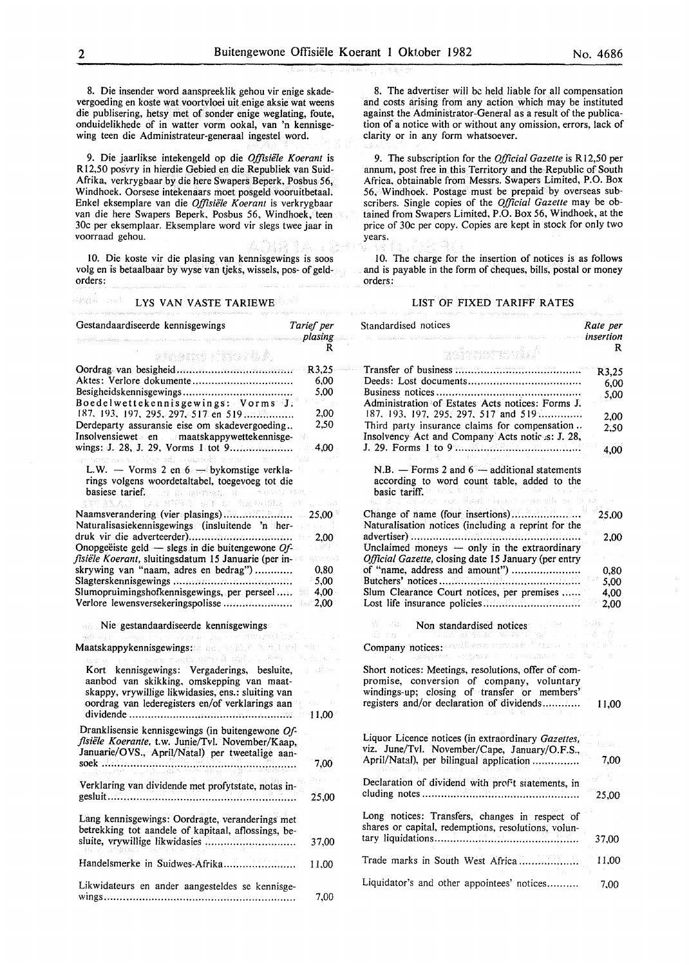8. Die insender word aanspreeklik gehou vir enige skadevergoeding en koste wat voortvloei uit enige aksie wat weens die publisering, hetsy met of sonder enige weglating, foute, onduidelikhede of in watter vorm ookal, van 'n kennisgewing teen die Administrateur-generaal ingestel word.

9. Die jaarlikse intekengeld op die *Offisiele Koerant* is R12,50 posvry in hierdie Gebied en die Republiek van Suid-Afrika, verkrygbaar by die here Swapers Beperk, Posbus 56, Windhoek. Oorsese intekenaars moet posgeld vooruitbetaal. Enkel eksemplare van die *Offisiele Koerant* is verkrygbaar van die here Swapers Beperk, Posbus 56, Windhoek, teen 30c per eksemplaar. Eksemplare word vir slegs twee jaar in voorraad gehou.

10. Die koste vir die plasing van kennisgewings is soos volg en is betaalbaar by wyse van tjeks, wissels, pos- of geldorders:

# LYS VAN VASTE TARIEWE Gestandaardiseerde kennisgewings *Tarief per*

*plasing*  R หรือเขตราช กำรวจ 231 ที่ Oordrag van besigheid .................................... . R3,25 Aktes: Verlore dokumente .................................. 6,00 Besigheidskennisgewings .................................. . 5,00 Boedelwettekennisgewings: Vorms J. I!D. 193. 197. 295. 297. 517 en 519 ............... . 2,00 Derdeparty assuransie eise om skadevergoeding .. 2,50 Insolvensiewet en maatskappywettekennisgewings: J. 28, J. 29, Vorms I tot 9 .................. .. 4,00 L.W. - Vorms 2 en  $6 -$  bykomstige verklarings volgens woordetaltabel, toegevoeg tot die basiese tarief. Naamsverandering (vier plasings) .................... .. 25,00 Naturalisasiekennisgewings (insluitende 'n herdruk vir die adverteerder) ............................... .. 2.00 Onopgeëiste geld — slegs in die buitengewone *Offisiele Koerant,* sluitingsdatum 15 Januarie (per inskrywing van "naam, adres en bedrag") ........... . 0,80 Slagterskennisgewings ..................................... . 5,00 Slumopruimingshofkennisgewings, per perseel .... . 4,00 Verlore Iewensversekeringspolisse .................... .. 2,00 Nie gestandaardiseerde kennisgewings Maatskappykennisgewings: Kort kennisgewings: Vergaderings, besluite, aanbod van skikking, omskepping van maatskappy, vrywillige likwidasies, ens.: sluiting van oordrag van lederegisters en/of verklarings aan dividende .................................................... 11,00 Dranklisensie kennisgewings (in buitengewone *Offisiele Koerante,* t.w. Junie/Tvl. November/Kaap, Januarie/OVS., April/Natal) per tweetalige aansoek .............................................................. 7,00 Verklaring van dividende met profytstate, notas ingesluit............................................................ 25,00 Lang kennisgewings: Oordragte, veranderings met betrekking tot aandele of kapitaal, aflossings, besluite, vrywillige likwidasies .. .. . .. .. . .. . .. .. .. .. .. .. . .. . 3 7,00 Handelsmerke in Suidwes-Afrika....................... 11,00 Likwidateurs en ander aangesteldes se kennisgewings............................................................. 7,00

8. The advertiser will be held liable for all compensation and costs arising from any action which may be instituted against the Administrator-General as a result of the publication of a notice with or without any omission, errors, lack of clarity or in any form whatsoever.

9. The subscription for the *Official Gazette* is RI2,50 per annum, post free in this Territory and the Republic of South Africa, obtainable from Messrs. Swapers Limited, P.O. Box 56, Windhoek. Postage must be prepaid by overseas subscribers. Single copies of the *Official Gazette* may be obtained from Swapers Limited, P.O. Box 56, Windhoek, at the price of 30c per copy. Copies are kept in stock for only two years.

10. The charge for the insertion of notices is as follows and is payable in the form of cheques, bills, postal or money orders:

#### LIST OF FIXED TARIFF RATES

| Standardised notices                                                                                                                                                                          | Rate per<br>insertion |
|-----------------------------------------------------------------------------------------------------------------------------------------------------------------------------------------------|-----------------------|
| Asianomovis A                                                                                                                                                                                 | R                     |
|                                                                                                                                                                                               | R3,25                 |
|                                                                                                                                                                                               | 6,00                  |
| Administration of Estates Acts notices: Forms J.<br>187, 193, 197, 295, 297, 517 and 519                                                                                                      | 5,00                  |
| Third party insurance claims for compensation                                                                                                                                                 | 2.00                  |
| Insolvency Act and Company Acts notic s: J. 28,                                                                                                                                               | 2,50                  |
|                                                                                                                                                                                               | 4,00                  |
| N.B. $-$ Forms 2 and $6 -$ additional statements<br>according to word count table, added to the<br>basic tariff.<br>g allard chains an albe                                                   |                       |
| Change of name (four insertions)                                                                                                                                                              | 25.00                 |
| Naturalisation notices (including a reprint for the                                                                                                                                           |                       |
|                                                                                                                                                                                               | 2.00                  |
| Unclaimed moneys - only in the extraordinary<br>Official Gazette, closing date 15 January (per entry                                                                                          |                       |
| of "name, address and amount")                                                                                                                                                                | 0,80                  |
|                                                                                                                                                                                               | 5,00                  |
| Slum Clearance Court notices, per premises                                                                                                                                                    | 4,00<br>2,00          |
| Non standardised notices<br>그는 그리고 우리 사람                                                                                                                                                      | Trille                |
| $\mathcal{G} \times \mathcal{M} \subset \mathcal{M} \times \mathcal{B} \times \mathcal{C}$<br>Company notices: and environmental construction<br>STRAND AT A THE PROGRAM PLANT                |                       |
| Short notices: Meetings, resolutions, offer of com-<br>promise, conversion of company, voluntary<br>windings-up; closing of transfer or members'<br>registers and/or declaration of dividends | 11,00                 |
| Liquor Licence notices (in extraordinary Gazettes,                                                                                                                                            | ali ka                |
| viz. June/Tvl. November/Cape, January/O.F.S.,<br>April/Natal), per bilingual application                                                                                                      | 7,00                  |
| Declaration of dividend with prof t statements, in                                                                                                                                            | 25,00                 |
| Long notices: Transfers, changes in respect of<br>shares or capital, redemptions, resolutions, volun-                                                                                         | 37,00                 |
| Trade marks in South West Africa                                                                                                                                                              | 11,00                 |
| Liquidator's and other appointees' notices                                                                                                                                                    | 7,00                  |

48.84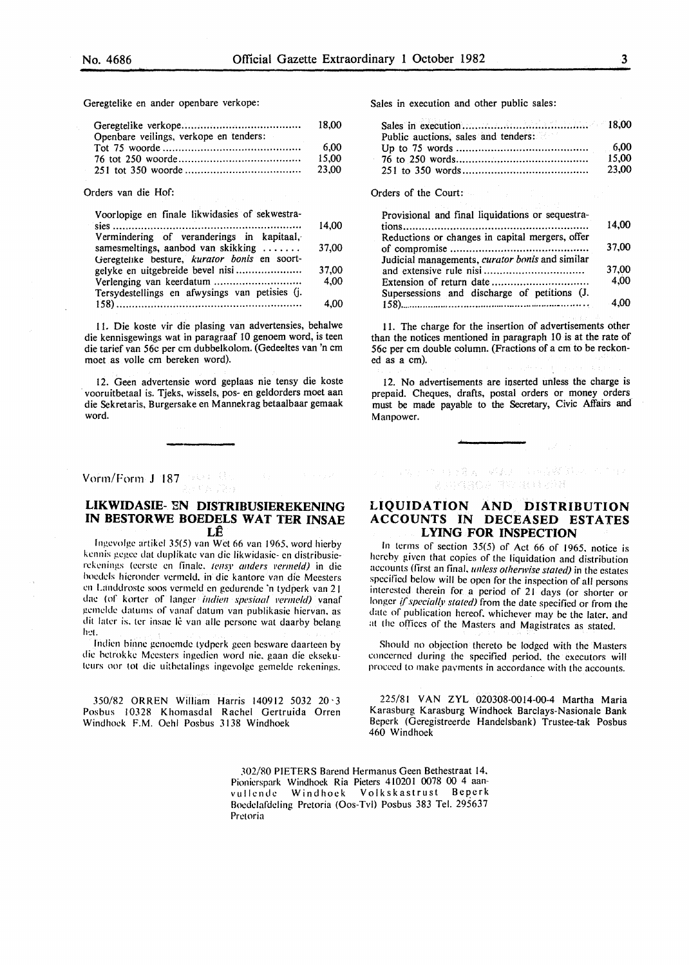Geregtelike en ander openbare verkope:

|                                        | 18.00 |
|----------------------------------------|-------|
| Openbare veilings, verkope en tenders: |       |
|                                        | 6.00  |
|                                        | 15.00 |
|                                        | 23.00 |

Orders van die Hof:

| Voorlopige en finale likwidasies of sekwestra-                                                  |       |
|-------------------------------------------------------------------------------------------------|-------|
|                                                                                                 | 14,00 |
| Vermindering of veranderings in kapitaal,                                                       |       |
| samesmeltings, aanbod van skikking $\dots \dots$                                                | 37,00 |
| Geregtelike besture, kurator bonis en soort-                                                    |       |
|                                                                                                 | 37,00 |
|                                                                                                 | 4.00  |
| Tersydestellings en afwysings van petisies (j.                                                  |       |
|                                                                                                 | 4.00  |
| the contract of the contract of the contract of the contract of the contract of the contract of |       |

II. Die koste vir die plasing van advertensies, behalwe die kennisgewings wat in paragraaf lO genoem word, is teen die tarief van 56c per em dubbelkolom. (Gedeeltes van 'n em moet as volle em bereken word).

12. Geen advertensie word geplaas nie tensy die koste vooruitbetaal is. Tjeks, wissels, pos- en ge1dorders moet aan die Sekretaris, Burgersake en Mannekrag betaalbaar gemaak word.

# Vorm/Form J 187

## **LIKWIDASIE- EN DISTRIBUSIEREKENING IN BESTORWE BOEDELS WAT TER INSAE LE**

lngevolge artikcl 35(5) van Wet66 van 1965. word hierby kennis gegee dat duplikate van die likwidasie- en distribusierekenings (eerste en finale. tensy anders vermeld) in die hoedels hieronder vermeld, in die kantore van die Meesters en Landdrostc soos vermeld en gedurende 'n tydperk van 21 dae (of korter of langer *indien spesiaal vermeld)* vanaf gemeldc datums of vanaf datum van puhlikasie hiervan. as dit later is, ter insae lê van alle persone wat daarby belang h·:t.

Indien binne genoemde tydperk geen besware daarteen by die hctrokke Mcesters ingedien word nie. gaan die eksekuteurs oor tot die uithetalings ingevolge gemelde rekenings.

350/82 ORREN William Harris 140912 5032 20·3 Posbus 10328 Khomasdal Rachel Gertruida Orren Windhoek F.M. Ochl Posbus 3138 Windhoek

Sales in execution and other public sales:

| Public auctions, sales and tenders: |        |
|-------------------------------------|--------|
|                                     | - 6,00 |
|                                     | 15.00  |
|                                     | 23.00  |

Orders of the Court:

| Provisional and final liquidations or sequestra- |       |
|--------------------------------------------------|-------|
|                                                  | 14.00 |
| Reductions or changes in capital mergers, offer  |       |
|                                                  | 37.00 |
| Judicial managements, curator bonis and similar  |       |
|                                                  | 37,00 |
|                                                  | 4.00  |
| Supersessions and discharge of petitions (J.     |       |
|                                                  | 4.00  |

II. The charge for the insertion of advertisements other than the notices mentioned in paragraph 10 is at the rate of 56c per em double column. (Fractions of a em to be reckoned as a em).

12. No advertisements are inserted unless the charge is prepaid. Cheques, drafts, postal orders or money orders must be made payable to the Secretary, Civic Affairs and Manpower.

#### **LIQUIDATION AND DISTRIBUTION ACCOUNTS IN DECEASED ESTATES LYING FOR INSPECTION**

医小白血管 使用的复数 网络太阳 电电离器 转动 人名日本 第三四维用稳身 用物 强调性活动脉

In terms of section  $35(5)$  of Act 66 of 1965, notice is hereby given that copies of the liquidation and distribution accounts (first an final. *unless otherwise stated)* in the estates specified below will be open for the inspection of all persons interested therein for a period of 21 days (or shorter or longer *if specially stated*) from the date specified or from the date of publication hereof, whichever may be the later, and at the offices of the Masters and Magistrates as stated.

Should no objection thereto be lodged with the Masters concerned during the specified period. the executors will proceed to make payments in accordance with the accounts.

225/81 VAN ZYL 020308-0014-00-4 Martha Maria Karasburg Karasburg Windhoek Barclays-Nasionale Bank Beperk (Geregistreerde Handelsbank) Trustee-tak Posbus 460 Windhoek

302/80 PIETERS Barcnd Hcrmanus Geen Bethestraat 14. Pionierspark Windhoek Ria Pieters 410201 0078 00 4 aanvullcndc Windhoek Volkskastrust Beperk Bocdclafdeling Pretoria (Oos-Tvl) Posbus 383 Tel. 29S637 Pretoria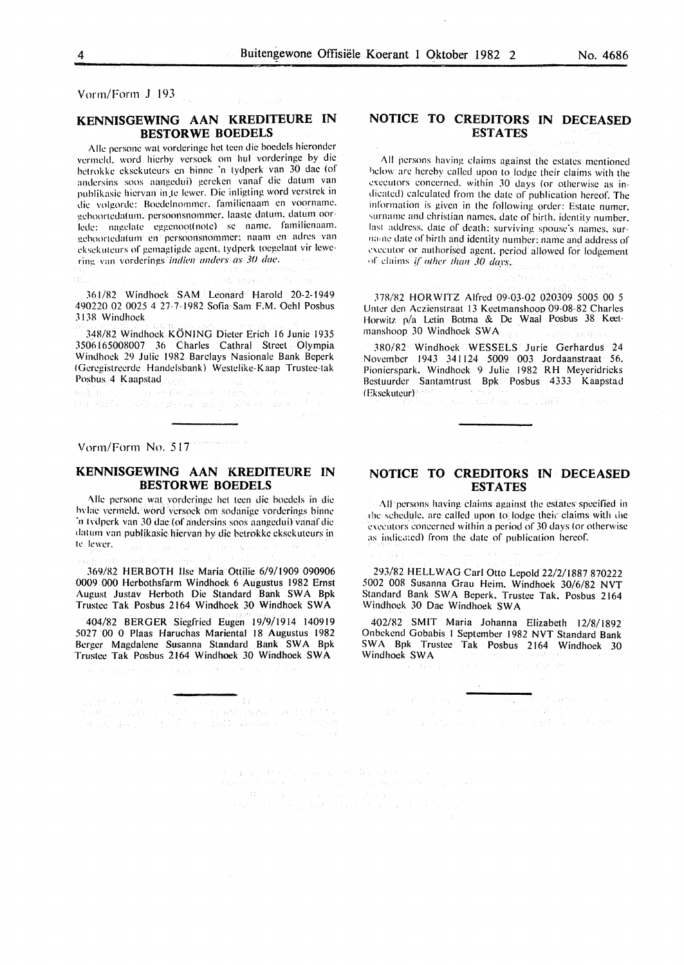Vorm/Form J 193

#### KENNISGEWING AAN KREDITEURE IN BESTORWE BOEDELS

Alle persone wat vorderinge het teen die boedels hieronder vermeld, word hierby versoek om hul vorderinge by die hctrokkc cksckuteurs en binnc ·n tydperk van 30 dae (of andersins soos aangedui) gereken vanaf die datum van publikasie hiervan in te lewer. Die inligting word verstrek in die volgorde: Boedelnommer. familienaam en voorname. gchoortcdatum. pcrsoonsnommcr. laaste datum. datum oorlede: nagelate eggenoot(note) se name. familienaam. geboortedatum en persoonsnommer: naam en adres van cksekuteurs of gemagtigde agent. tydperk toegelaat vir lewering van vorderings *indien anders as 30 dae.* 

361/R2 Windhoek SAM Leonard Harold 20-2-1949 490220 02 0025 4 27-7-19R2 Sofia Sam F.M. Ochl Posbus 313R Windhoek

348/82 Windhoek KONING Dieter Erich 16 Junie 1935 3506165008007 36 Charles Cathral Street Olympia Windhoek 29 Julie 1982 Barclays Nasionalc Bank Beperk IGcrcg.istreerdc Handelsbank) Wcstclikc-Kaap Trustee-tak Posbus 4 Kaapstad

making the top and has been computed as ta a santi conservito de parte del constante del control de la conservación de la conservación de la

Vorm/Form No. 517

### KENNISGEWING AAN KREDITEURE IN BESTORWE BOEDELS

Alle persone wat vorderinge het teen die boedels in die hvlac vermeld, word versoek om sodanige vorderings binne ·n tvdpcrk van 30 dae (of andersins soos aangcdui) vanaf die datum van publikasic hicrvan by die bctrokkc cksckutcurs in h: lcwcr.

369/82 HERBOTH lise Maria Ottilie 6/9/1909 090906 0009 000 Herbothsfarm Windhoek 6 Augustus 1982 Ernst August Justav Herboth Die Standard Bank SWA Bpk Trustee Tak Posbus 2164 Windhoek 30 Windhoek SW A

404/82 BERGER Siegfried Eugen 19/9/1914 140919 5027 00 0 Plaas Haruchas Mariental 18 Augustus 1982 Berger Magdalene Susanna Standard Bank SWA Bpk Trustee Tak Posbus 2164 Windhoek 30 Windhoek SWA

in 1973

 $\begin{split} &\text{rank} \mathcal{P} \rightarrow \text{rank} \mathcal{P} \rightarrow \text{rank} \mathcal{P} \rightarrow \text{rank} \mathcal{P} \rightarrow \text{rank} \mathcal{P} \rightarrow \text{rank} \mathcal{P} \rightarrow \text{rank} \mathcal{P} \rightarrow \text{rank} \mathcal{P} \rightarrow \text{rank} \mathcal{P} \rightarrow \text{rank} \mathcal{P} \rightarrow \text{rank} \mathcal{P} \rightarrow \text{rank} \mathcal{P} \rightarrow \text{rank} \mathcal{P} \rightarrow \text{rank} \mathcal{P} \rightarrow \text{rank} \mathcal{P} \rightarrow \text{rank} \mathcal{P} \rightarrow \text{rank} \$ 

#### NOTICE TO CREDITORS IN DECEASED ESTATES

All persons having claims against the estates mentioned below are hereby called upon to lodge their claims with the executors concerned, within 30 days (or otherwise as indicated) calculated from the date of publication hereof: The information is given in the following order: Estate numer. surname and christian names. date of birth. identity number. last address, date of death: surviving spouse's names, surlla•nc date of birth and identity number: name and address of executor or authorised agent. period allowed for lodgement • ,f claims if" *other than 30 days.* 

378/82 HORWITZ Alfred 09-03-02 020309 5005 00 5 Untcr den Aczicnstraat 13 Kectmanshooo 09-08-82 Charles Horwitz p/a Letin Botma & De Waal Posbus 38 Keetmanshoop 30 Windhoek SWA

380/82 Windhoek WESSELS Jurie Gerhardus 24 November 1943 341 124 5009 003 Jordaanstraat 56. Pionicrspark. Windhoek 9 Julie 1982 RH Meyeridricks Bcstuurdcr Santamtrust Bpk Posbus 4333 Kaapstad !Eksckuteur)  $\sim 1000$  ,  $\sim 1000$ 

# NOTICE TO CREDITORS IN DECEASED ESTATES

All persons having claims against the estates specified in the schedule, are called upon to lodge their claims with the executors concerned within a period of 30 days (or otherwise as indicated) from the date of publication hereof.

293/82 HELL WAG Carl Otto Lepold 22/2/1887 870222 5002 008 Susanna Grau Heim. Windhoek 30/6/82 NVT Standard Bank SWA Bcperk, Trustee Tak, Posbus 2164 Windhoek 30 Dae Windhoek SW A

402/82 SMIT Maria Johanna Elizabeth 12/8/1892 Onbckend Gobabis I September 1982 NVT Standard Bank SW A Bpk Trustee Tak Posbus 2164 Windhoek 30 Windhoek SWA

 $\mathbb{Z}_{4T}$  , and the set of  $\mathbb{Z}_{2T}$ 

 $\label{eq:3.1} \left\{ \sigma_{\mathbf{N}}^{(k)}\right\} \left(\mathcal{I}_{\mathbf{N}}^{(k)}\right) = \left\{ \sigma_{\mathbf{N}}^{(k)}\right\} \left(\mathcal{I}_{\mathbf{N}}^{(k)}\right)^{-1} \left(\mathcal{I}_{\mathbf{N}}^{(k)}\right) \left(\mathcal{I}_{\mathbf{N}}^{(k)}\right) \left(\mathcal{I}_{\mathbf{N}}^{(k)}\right)^{-1} \left(\mathbf{N}^{(k)}\right)^{-1} \left(\mathbf{N}^{(k)}\right)^{-1} \left(\mathbf{N}^{(k)}\right)^{-1} \left(\$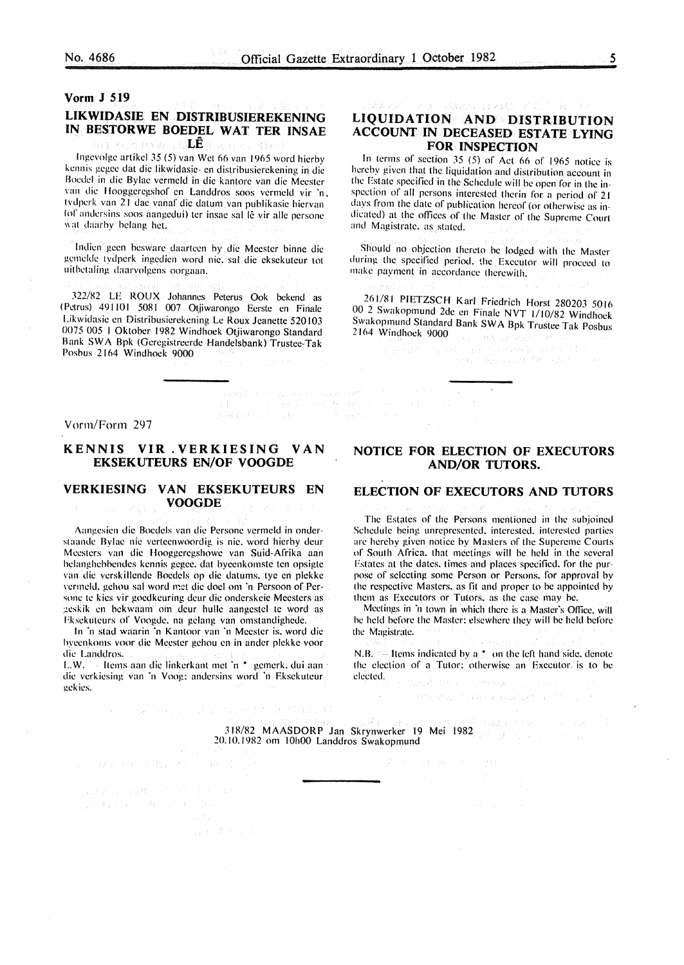# Vorm J 519 LIKWIDASIE EN DISTRIBUSIEREKENING IN BESTORWE BOEDEL WAT TER INSAE LE

lngevolge artikel *35* (5) van Wet 66 van 1965 word hierby kennis gegee dat die likwidasie- en distribusierekening in die Boedel in die Bylae vermeld in die kantore van die Meester van die Hooggeregshof en Landdros soos vermeld vir 'n, tvdperk van 21 dae vanaf die datum van publikasie hiervan (of andersins soos aangedui) ter insae sal lê vir alle persone wat daarby belang het.

lndien geen besware daarteen hy die Meester binne die gemclde tydpcrk ingedien word nie. sal die eksekuteur tot uithetaling daarvolgens oorgaan.

322/82 LE ROUX Johannes Peterus Ook bekend as (Petrus) 491101 5081 007 Otjiwarongo Eerste en Finale Likwidasie en Distribusierekening Le Roux Jeanette 520103 0075 005 I Oktober 1982 Windhoek Otjiwarongo Standard Bank SWA Bpk (Geregistreerde Handelsbank) Trustee-Tak Poshus 2164 Windhoek 9000

#### イコー (意図)のは のほう プリア LIQUIDATION AND DISTRIBUTION ACCOUNT IN DECEASED ESTATE LYING FOR INSPECTION

In terms of section *35* (5) of Act 66 of 1965 notice is hereby given that the liquidation and distribution account in the Estate specified in the Schedule will be open for in the inspection of all persons interested therin for a period of 21 days from the date of publication hereof (or otherwise as indicated) at the offices of the Master of the Supreme Court and Magistrate. as stated.

Should no objection thereto he lodged with the Master during the specified period. the Executor will proceed to make payment in accordance therewith.

261/81 PIETZSCH Karl Friedrich Horst 280203 5016 00 2 Swakopmund 2de en Finale NVT 1/10/82 Windhoek Swakopmund Standard Bank SW A Bpk Trustee Tak Posbus 2164 Windhoek 9000 Tag (and head shown and

e de la construcción de la construcción de la construcción de la construcción de la construcción de la construcción<br>La construcción de la construcción de la construcción de la construcción de la construcción de la construc

 $\begin{array}{ll} \hbox{for all $k\in\{0,1\}^n$ and $k\in\{0,1\}^n$ and $k\in\{0,1\}^n$ and $k\in\{0,1\}^n$ and $k\in\{0,1\}^n$ and $k\in\{0,1\}^n$ and $k\in\{0,1\}^n$ and $k\in\{0,1\}^n$ and $k\in\{0,1\}^n$ and $k\in\{0,1\}^n$ and $k\in\{0,1\}^n$ and $k\in\{0,1\}^n$ and $k\in\{0,1\}^n$ and $k\in\{0,1\}^$ 

#### Vorm/Form 297

## KENNIS VIR . VERKIESING VAN EKSEKUTEURS EN/OF VOOGDE

## VERKIESING VAN EKSEKUTEURS EN VOOGDE

Aangcsien die Boedels van die Pcrsonc vermcld in onderstaande Bylae nie verteenwoordig is nie. word hierhy deur Mccstcrs van die Hooggeregshowe van Suid-Afrika aan hclanghehhendes kennis gegee. dat byecnkomste ten opsigte van die verskillende Roedels op die datums. tye en plekke vermeld, gehou sal word met die doel om 'n Persoon of Persone te kies vir goedkeuring deur die onderskeie Meesters as geskik en bekwaam om deur hulle aangestel te word as Fksekuteurs of Voogde, na gelang van omstandighede.

In 'n stad waarin 'n Kantoor van ·n Meester is. word die byecnkoms voor die Meester gehou en in andcr plekke voor die Landdros.

LW. Items aan die linkcrkant met 'n • gemcrk. dui aan · die verkiesing van 'n Voog: andersins word 'n Eksekuteur gckies.

27 F 87 S SHK S 29

 $\label{eq:2.1} \mathcal{L} \left( \mathcal{E} \left( \mathcal{E} \right) \right) \left( \mathcal{E} \left( \mathcal{E} \right) \right) \left( \mathcal{E} \left( \mathcal{E} \right) \right) = \mathcal{E} \left( \mathcal{E} \left( \mathcal{E} \right) \right) \left( \mathcal{E} \left( \mathcal{E} \right) \right) \left( \mathcal{E} \right)$ i de la cardida<br>1970: Espaina de la Cardida<br>1970: Espaina de la Cardida

The content of the second product with the second second second second second second second second second second second second second second second second second second second second second second second second second seco

- 4 - 7

# NOTICE FOR ELECTION OF EXECUTORS AND/OR TUTORS.

### ELECTION OF EXECUTORS AND TUTORS

The Estates of the Persons mentioned in the subjoined Schedule being unrepresented. interested. interested parties arc hereby given notice by Masters of the Supcrcme Courts of South Africa. that meetings will be held in the several Estates at the dates, times and places specified. for the purpose of selecting some Person or Persons. for approval by the respective Masters. as fit and proper to he appointed by them as Executors or Tutors. as the case may he.

Meetings in 'n town in which there is a Master's Office, will he held before the Master: elsewhere they will be held before the Magistrate.

N.B. Items indicated by  $a_i^*$  on the left hand side, denote the election of a Tutor: otherwise an Executor is to be elected. Presidents Sun St

mental companions and company

不認 おおり しょうしょく

318/82 MAASDORP Jan Skrynwerker 19 Mei 1982 20.10.1982 om 10h00 Landdros Swakopmund

 $\frac{1}{2} \frac{\partial \phi}{\partial t}$  .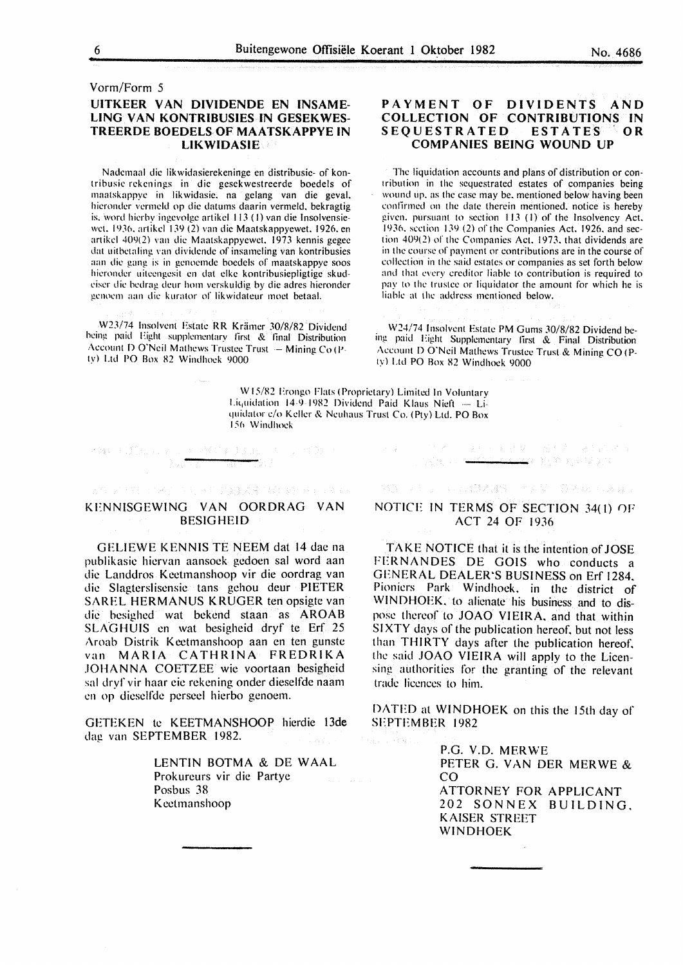# Vorm/Form 5 UITKEER VAN DIVIDENDE EN INSAME-LING VAN KONTRIBUSIES IN GESEKWES-TREERDE BOEDELS OF MAATSKAPPYE IN **LIKWIDASIE**

Nadcmaal die likwidasierekeninge en distribusie- of kontribusic rckcnings in die gesekwestreerde boedels of maatskappyc in likwidasie. na gelang van die geval. hicrondcr vcrmcld op die datums daarin vermeld. bekragtig is. word hierby ingevolge artikel 113 (1) van die Insolvensiewct. 1936. artikcl I 39 (2) van die Maatskappyewet. 1926. en artikel 409(2) van die Maatskappyewet. 1973 kennis gegee dat uithctaling van dividcndc of insamcling van kontribusies aan die gang is in gcnocmdc boedels of maatskappye soos hicrondcr uitccngcsit en dat clke kontribusiepligtigc skudeiser die bedrag deur hom verskuldig by die adres hieronder genoem aan die kurator of likwidateur moet betaal.

W23/74 Insolvent Estate RR Krämer 30/8/82 Dividend being paid Eight supplementary first & final Distribution Account D O'Neil Mathews Trustee Trust  $-$  Mining Co (Pty) Ltd PO Box X2 Windhoek 9000

### PAYMENT OF DIVIDENTS AND COLLECTION OF CONTRIBUTIONS IN<br>SEQUESTRATED ESTATES OR **SEQUESTRATED** COMPANIES BEING WOUND UP

The liquidation accounts and plans of distribution or contribution in the sequestrated estates of companies being wound up. as the case may be. mentioned below having been conlirmcd on the date therein mentioned. notice is hereby given. pursuant to section 113 (I) of the Insolvency Act. 1936. section  $139(2)$  of the Companies Act. 1926, and section  $409(2)$  of the Companies Act. 1973. that dividends are in the course of payment or contributions are in the course of collection in the said estates or companies as set forth below and that every creditor liable to contribution is required to pay to the trustee or liquidator the amount for which he is liable at the address mentioned below.

W24/74 Insolvent Estate PM Gums 30/8/82 Dividend being paid Eight Supplementary lirst & Final Distribution Account D O'Neil Mathews Trustee Trust & Mining CO (Ply) Ltd PO Box X2 Windhoek 9000

W 15/X2 Erongo Flats (Proprietary) Limited In Voluntary Liquidation 14 9 1982 Dividend Paid Klaus Nieft  $-$  Liquidator c/o Keller & Neuhaus Trust Co. (Pty) Ltd. PO Box 156 Windhock

 $\mathbb{R}^2 \times \mathbb{R}^{n \times n}$ 

# KENNISGEWING VAN OORDRAG VAN BESIGHEID

○ 10 回 3022 X3 140 超 250 0

KAN SUGERIA

GELIEWE KENNIS TE NEEM dat 14 dae na publikasic hicrvan aansoek gedoen sal word aan die Landdros Keetmanshoop vir die oordrag van die Slagterslisensie tans gehou deur PIETER SAREL HERMANUS KRUGER ten opsigte van die besighed wat bekend staan as AROAB SLAGHUIS en wat besigheid dryf te Erf 25 Aroab Distrik Keetmanshoop aan en ten gunste van MARIA CATHRINA FREDRIKA JOHANNA COETZEE wie voortaan besigheid sal dryf vir haar eie rekening onder dieselfde naam en op diesclfde perseel hierbo genoem.

GETEKEN te KEETMANSHOOP hierdie 13de dag van SEPTEMBER 1982.

> LENTIN BOTMA & DE WAAL Prokurcurs vir die Partye Posbus 38 Kectmanshoop

# NOTICE IN TERMS OF SECTION 34(1) OF ACT 24 OF 1936

法相关 经预期 人名科希 网络新闻学家

- 中国国鉄関連の「アメダー分泌」の Alactic Again

224 BARD RAWLEY

 $\mathcal{C}(\mathcal{C})$  ,  $\mathcal{C}(\mathcal{C})$ 

TAKE NOTICE that it is the intention of JOSE FERNANDES DE GOIS who conducts a GENERAL DEALER'S BUSINESS on Erf 1284. Pioniers Park Windhoek, in the district of WINDHOEK, to alienate his business and to dispose thereof to JOAO VIEIRA, and that within SIXTY days of the publication hereof. but not less than THIRTY days after the publication hereof, the said JOAO VIEIRA will apply to the Licensing authorities for the granting of the relevant trade licences to him.

DATED at WINDHOEK on this the 15th day of SEPTEMBER 1982

> P.G. V.D. MERWE PETER G. VAN DER MERWE & co ATTORNEY FOR APPLICANT 202 SONNEX BUILDING. KAISER STREET WINDHOEK